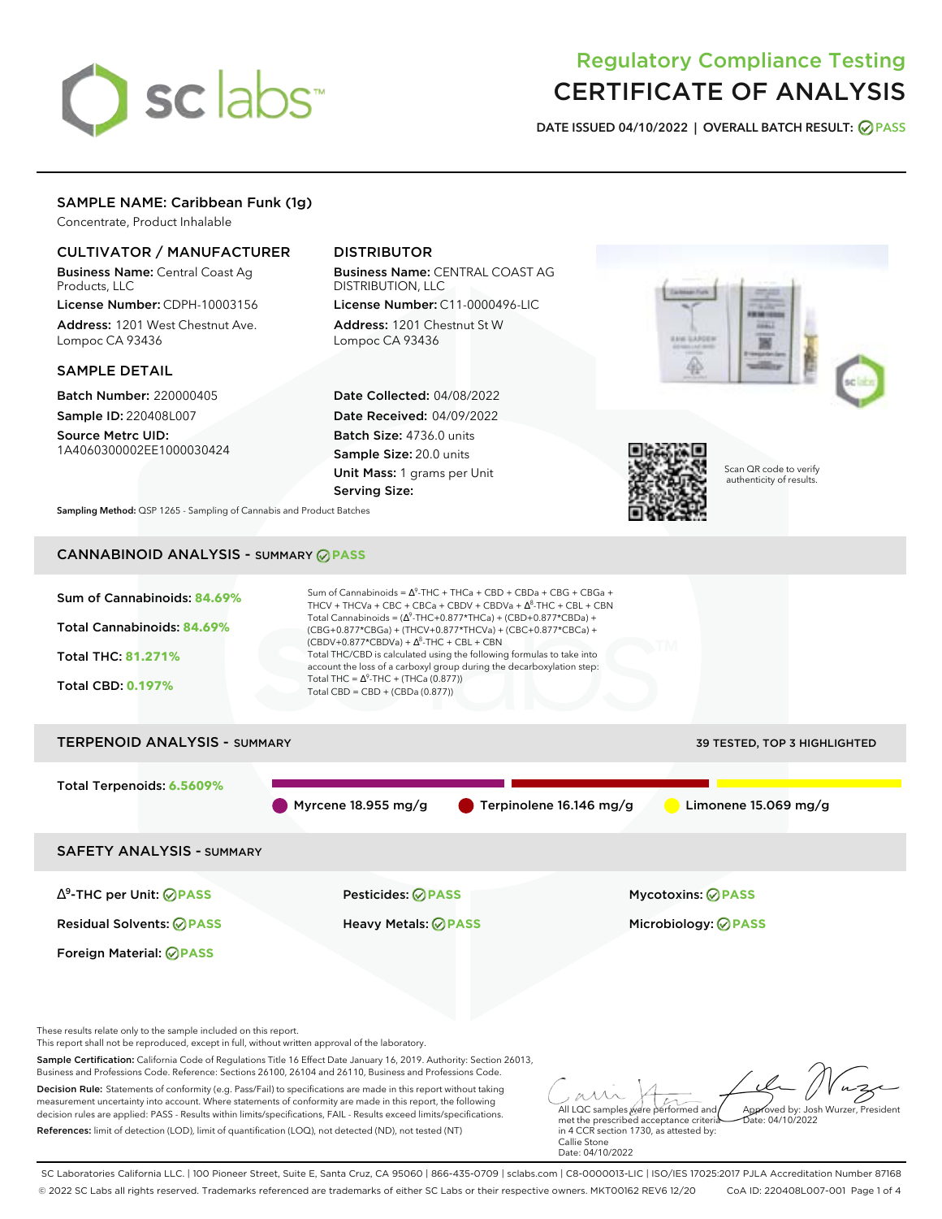# sclabs<sup>\*</sup>

# Regulatory Compliance Testing CERTIFICATE OF ANALYSIS

**DATE ISSUED 04/10/2022 | OVERALL BATCH RESULT: PASS**

# SAMPLE NAME: Caribbean Funk (1g)

Concentrate, Product Inhalable

# CULTIVATOR / MANUFACTURER

Business Name: Central Coast Ag Products, LLC

License Number: CDPH-10003156 Address: 1201 West Chestnut Ave. Lompoc CA 93436

## SAMPLE DETAIL

Batch Number: 220000405 Sample ID: 220408L007

Source Metrc UID: 1A4060300002EE1000030424

# DISTRIBUTOR

Business Name: CENTRAL COAST AG DISTRIBUTION, LLC License Number: C11-0000496-LIC

Address: 1201 Chestnut St W Lompoc CA 93436

Date Collected: 04/08/2022 Date Received: 04/09/2022 Batch Size: 4736.0 units Sample Size: 20.0 units Unit Mass: 1 grams per Unit Serving Size:





Scan QR code to verify authenticity of results.

**Sampling Method:** QSP 1265 - Sampling of Cannabis and Product Batches

# CANNABINOID ANALYSIS - SUMMARY **PASS**



| I ERPENUID ANALYSIS - SUMMARY    |                     |                                        | 39 TESTED, TOP 3 HIGHLIGHTED |
|----------------------------------|---------------------|----------------------------------------|------------------------------|
| Total Terpenoids: 6.5609%        |                     |                                        |                              |
|                                  | Myrcene 18.955 mg/g | $\blacksquare$ Terpinolene 16.146 mg/g | Limonene $15.069$ mg/g       |
| <b>SAFETY ANALYSIS - SUMMARY</b> |                     |                                        |                              |
|                                  |                     |                                        |                              |

∆ 9 -THC per Unit: **PASS** Pesticides: **PASS** Mycotoxins: **PASS**

Foreign Material: **PASS**

Residual Solvents: **PASS** Heavy Metals: **PASS** Microbiology: **PASS**

These results relate only to the sample included on this report.

This report shall not be reproduced, except in full, without written approval of the laboratory.

Sample Certification: California Code of Regulations Title 16 Effect Date January 16, 2019. Authority: Section 26013, Business and Professions Code. Reference: Sections 26100, 26104 and 26110, Business and Professions Code.

Decision Rule: Statements of conformity (e.g. Pass/Fail) to specifications are made in this report without taking measurement uncertainty into account. Where statements of conformity are made in this report, the following decision rules are applied: PASS - Results within limits/specifications, FAIL - Results exceed limits/specifications. References: limit of detection (LOD), limit of quantification (LOQ), not detected (ND), not tested (NT)

All LQC samples were performed and met the prescribed acceptance criteria Approved by: Josh Wurzer, President Date: 04/10/2022

in 4 CCR section 1730, as attested by: Callie Stone Date: 04/10/2022

SC Laboratories California LLC. | 100 Pioneer Street, Suite E, Santa Cruz, CA 95060 | 866-435-0709 | sclabs.com | C8-0000013-LIC | ISO/IES 17025:2017 PJLA Accreditation Number 87168 © 2022 SC Labs all rights reserved. Trademarks referenced are trademarks of either SC Labs or their respective owners. MKT00162 REV6 12/20 CoA ID: 220408L007-001 Page 1 of 4